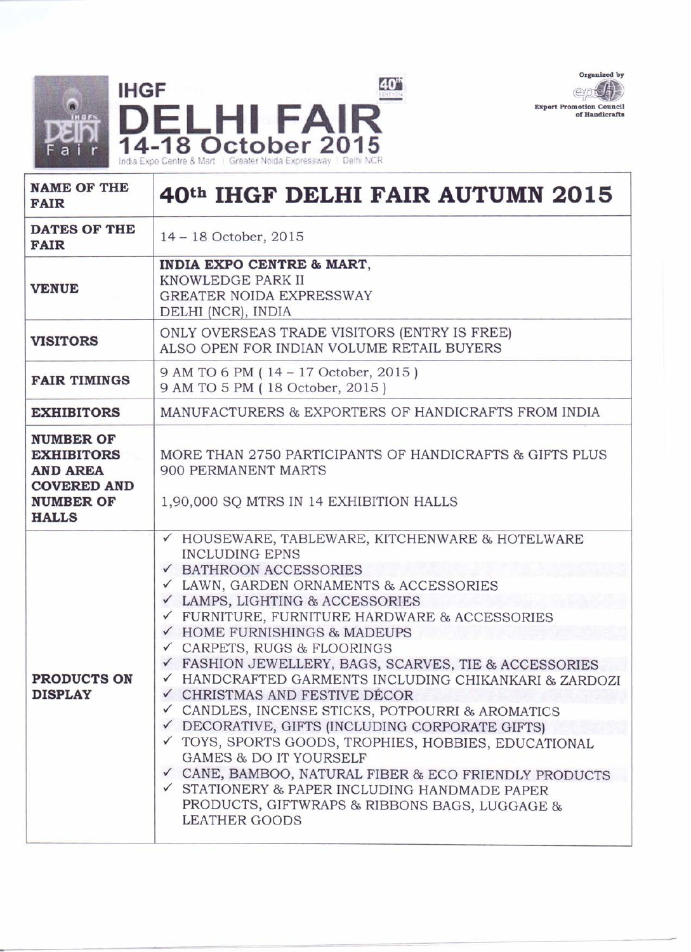



| <b>NAME OF THE</b><br><b>FAIR</b>                                                                                  | 40th IHGF DELHI FAIR AUTUMN 2015                                                                                                                                                                                                                                                                                                                                                                                                                                                                                                                                                                                                                                                                                                                                                                                           |  |  |
|--------------------------------------------------------------------------------------------------------------------|----------------------------------------------------------------------------------------------------------------------------------------------------------------------------------------------------------------------------------------------------------------------------------------------------------------------------------------------------------------------------------------------------------------------------------------------------------------------------------------------------------------------------------------------------------------------------------------------------------------------------------------------------------------------------------------------------------------------------------------------------------------------------------------------------------------------------|--|--|
| DATES OF THE<br><b>FAIR</b>                                                                                        | 14 - 18 October, 2015                                                                                                                                                                                                                                                                                                                                                                                                                                                                                                                                                                                                                                                                                                                                                                                                      |  |  |
| <b>VENUE</b>                                                                                                       | INDIA EXPO CENTRE & MART,<br>KNOWLEDGE PARK II<br><b>GREATER NOIDA EXPRESSWAY</b><br>DELHI (NCR), INDIA                                                                                                                                                                                                                                                                                                                                                                                                                                                                                                                                                                                                                                                                                                                    |  |  |
| <b>VISITORS</b>                                                                                                    | ONLY OVERSEAS TRADE VISITORS (ENTRY IS FREE)<br>ALSO OPEN FOR INDIAN VOLUME RETAIL BUYERS                                                                                                                                                                                                                                                                                                                                                                                                                                                                                                                                                                                                                                                                                                                                  |  |  |
| <b>FAIR TIMINGS</b>                                                                                                | 9 AM TO 6 PM (14 - 17 October, 2015)<br>9 AM TO 5 PM (18 October, 2015)                                                                                                                                                                                                                                                                                                                                                                                                                                                                                                                                                                                                                                                                                                                                                    |  |  |
| <b>EXHIBITORS</b>                                                                                                  | MANUFACTURERS & EXPORTERS OF HANDICRAFTS FROM INDIA                                                                                                                                                                                                                                                                                                                                                                                                                                                                                                                                                                                                                                                                                                                                                                        |  |  |
| <b>NUMBER OF</b><br><b>EXHIBITORS</b><br><b>AND AREA</b><br><b>COVERED AND</b><br><b>NUMBER OF</b><br><b>HALLS</b> | MORE THAN 2750 PARTICIPANTS OF HANDICRAFTS & GIFTS PLUS<br><b>900 PERMANENT MARTS</b><br>1,90,000 SQ MTRS IN 14 EXHIBITION HALLS                                                                                                                                                                                                                                                                                                                                                                                                                                                                                                                                                                                                                                                                                           |  |  |
| <b>PRODUCTS ON</b><br><b>DISPLAY</b>                                                                               | ✓ HOUSEWARE, TABLEWARE, KITCHENWARE & HOTELWARE<br><b>INCLUDING EPNS</b><br>✔ BATHROON ACCESSORIES<br>LAWN, GARDEN ORNAMENTS & ACCESSORIES<br>✓ LAMPS, LIGHTING & ACCESSORIES<br>✓ FURNITURE, FURNITURE HARDWARE & ACCESSORIES<br>✔ HOME FURNISHINGS & MADEUPS<br>✓ CARPETS, RUGS & FLOORINGS<br>FASHION JEWELLERY, BAGS, SCARVES, TIE & ACCESSORIES<br>HANDCRAFTED GARMENTS INCLUDING CHIKANKARI & ZARDOZI<br>✓ CHRISTMAS AND FESTIVE DÉCOR<br>✓ CANDLES, INCENSE STICKS, POTPOURRI & AROMATICS<br>DECORATIVE, GIFTS (INCLUDING CORPORATE GIFTS)<br>√ TOYS, SPORTS GOODS, TROPHIES, HOBBIES, EDUCATIONAL<br><b>GAMES &amp; DO IT YOURSELF</b><br>√ CANE, BAMBOO, NATURAL FIBER & ECO FRIENDLY PRODUCTS<br>√ STATIONERY & PAPER INCLUDING HANDMADE PAPER<br>PRODUCTS, GIFTWRAPS & RIBBONS BAGS, LUGGAGE &<br>LEATHER GOODS |  |  |